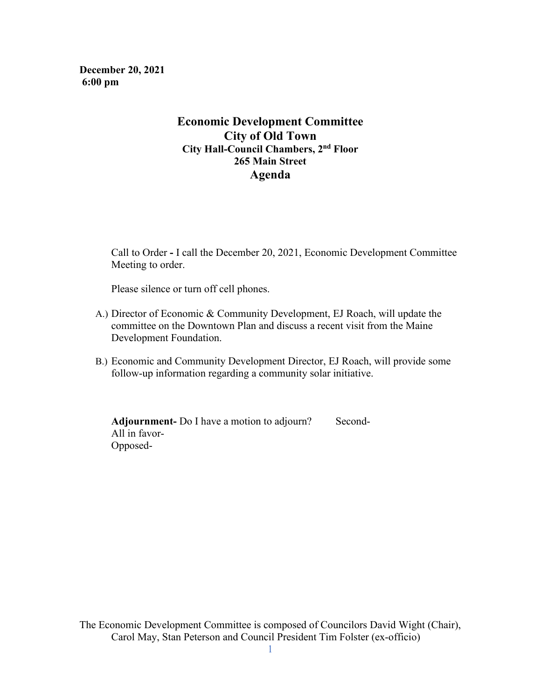**December 20, 2021 6:00 pm**

## **Economic Development Committee City of Old Town City Hall-Council Chambers, 2nd Floor 265 Main Street Agenda**

Call to Order **-** I call the December 20, 2021, Economic Development Committee Meeting to order.

Please silence or turn off cell phones.

- A.) Director of Economic & Community Development, EJ Roach, will update the committee on the Downtown Plan and discuss a recent visit from the Maine Development Foundation.
- B.) Economic and Community Development Director, EJ Roach, will provide some follow-up information regarding a community solar initiative.

**Adjournment-** Do I have a motion to adjourn? Second- All in favor- Opposed-

The Economic Development Committee is composed of Councilors David Wight (Chair), Carol May, Stan Peterson and Council President Tim Folster (ex-officio)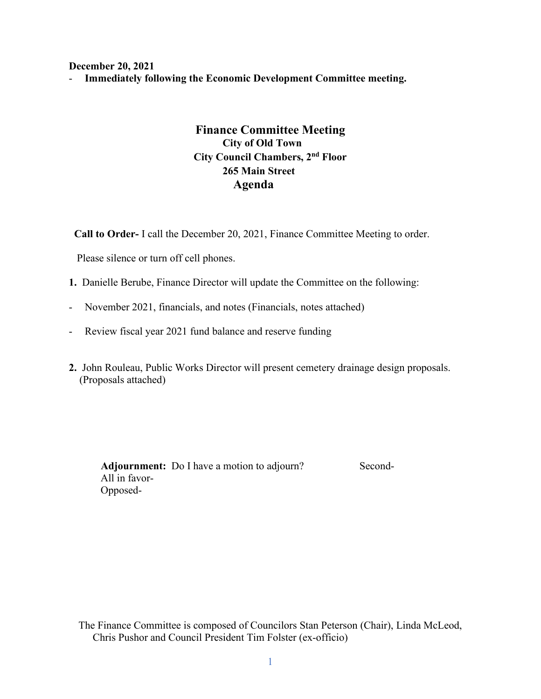**December 20, 2021** 

- **Immediately following the Economic Development Committee meeting.** 

# **Finance Committee Meeting City of Old Town City Council Chambers, 2nd Floor 265 Main Street Agenda**

 **Call to Order-** I call the December 20, 2021, Finance Committee Meeting to order.

Please silence or turn off cell phones.

- **1.** Danielle Berube, Finance Director will update the Committee on the following:
- November 2021, financials, and notes (Financials, notes attached)
- Review fiscal year 2021 fund balance and reserve funding
- **2.** John Rouleau, Public Works Director will present cemetery drainage design proposals. (Proposals attached)

Adjournment: Do I have a motion to adjourn? Second- All in favor- Opposed-

The Finance Committee is composed of Councilors Stan Peterson (Chair), Linda McLeod, Chris Pushor and Council President Tim Folster (ex-officio)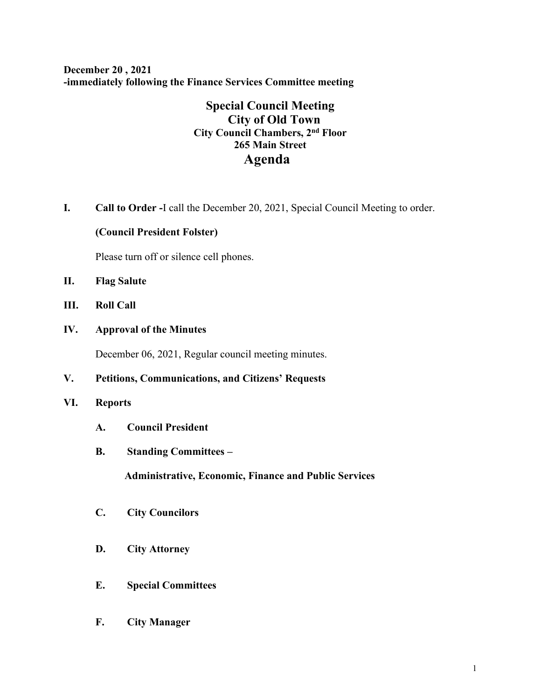**December 20 , 2021 -immediately following the Finance Services Committee meeting**

# **Special Council Meeting City of Old Town City Council Chambers, 2nd Floor 265 Main Street Agenda**

**I. Call to Order -**I call the December 20, 2021, Special Council Meeting to order.

#### **(Council President Folster)**

Please turn off or silence cell phones.

- **II. Flag Salute**
- **III. Roll Call**
- **IV. Approval of the Minutes**

December 06, 2021, Regular council meeting minutes.

## **V. Petitions, Communications, and Citizens' Requests**

## **VI. Reports**

- **A. Council President**
- **B. Standing Committees –**

 **Administrative, Economic, Finance and Public Services**

- **C. City Councilors**
- **D. City Attorney**
- **E. Special Committees**
- **F. City Manager**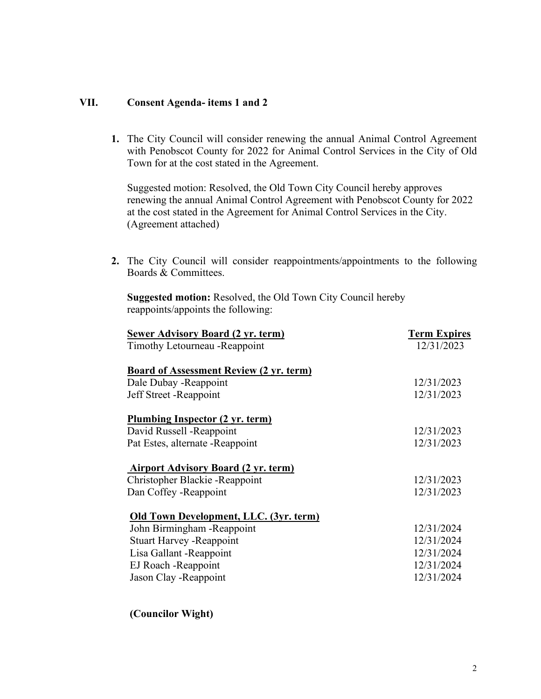#### **VII. Consent Agenda- items 1 and 2**

**1.** The City Council will consider renewing the annual Animal Control Agreement with Penobscot County for 2022 for Animal Control Services in the City of Old Town for at the cost stated in the Agreement.

Suggested motion: Resolved, the Old Town City Council hereby approves renewing the annual Animal Control Agreement with Penobscot County for 2022 at the cost stated in the Agreement for Animal Control Services in the City. (Agreement attached)

**2.** The City Council will consider reappointments/appointments to the following Boards & Committees.

**Suggested motion:** Resolved, the Old Town City Council hereby reappoints/appoints the following:

| <b>Sewer Advisory Board (2 yr. term)</b>       | <b>Term Expires</b> |
|------------------------------------------------|---------------------|
| Timothy Letourneau - Reappoint                 | 12/31/2023          |
| <b>Board of Assessment Review (2 yr. term)</b> |                     |
| Dale Dubay - Reappoint                         | 12/31/2023          |
| Jeff Street - Reappoint                        | 12/31/2023          |
| Plumbing Inspector (2 yr. term)                |                     |
| David Russell - Reappoint                      | 12/31/2023          |
| Pat Estes, alternate - Reappoint               | 12/31/2023          |
| <b>Airport Advisory Board (2 yr. term)</b>     |                     |
| Christopher Blackie - Reappoint                | 12/31/2023          |
| Dan Coffey - Reappoint                         | 12/31/2023          |
| Old Town Development, LLC. (3yr. term)         |                     |
| John Birmingham - Reappoint                    | 12/31/2024          |
| <b>Stuart Harvey - Reappoint</b>               | 12/31/2024          |
| Lisa Gallant - Reappoint                       | 12/31/2024          |
| EJ Roach - Reappoint                           | 12/31/2024          |
| Jason Clay - Reappoint                         | 12/31/2024          |
|                                                |                     |

**(Councilor Wight)**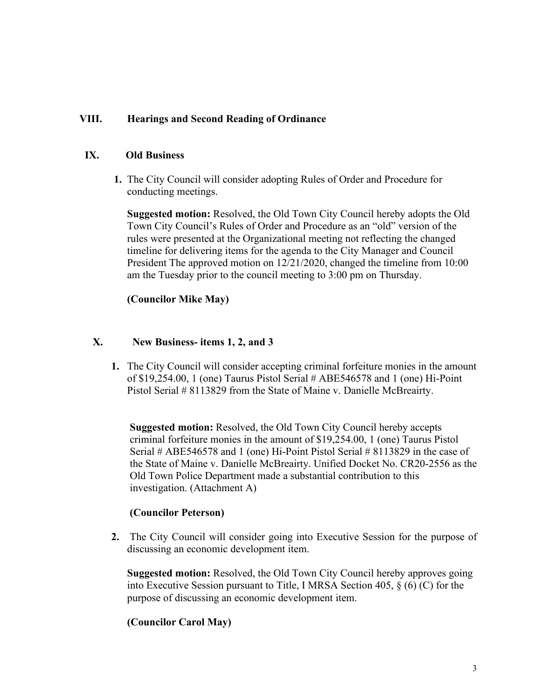## **VIII. Hearings and Second Reading of Ordinance**

#### **IX. Old Business**

**1.** The City Council will consider adopting Rules of Order and Procedure for conducting meetings.

 **Suggested motion:** Resolved, the Old Town City Council hereby adopts the Old Town City Council's Rules of Order and Procedure as an "old" version of the rules were presented at the Organizational meeting not reflecting the changed timeline for delivering items for the agenda to the City Manager and Council President The approved motion on 12/21/2020, changed the timeline from 10:00 am the Tuesday prior to the council meeting to 3:00 pm on Thursday.

## **(Councilor Mike May)**

#### **X. New Business- items 1, 2, and 3**

**1.** The City Council will consider accepting criminal forfeiture monies in the amount of \$19,254.00, 1 (one) Taurus Pistol Serial # ABE546578 and 1 (one) Hi-Point Pistol Serial # 8113829 from the State of Maine v. Danielle McBreairty.

 **Suggested motion:** Resolved, the Old Town City Council hereby accepts criminal forfeiture monies in the amount of \$19,254.00, 1 (one) Taurus Pistol Serial # ABE546578 and 1 (one) Hi-Point Pistol Serial # 8113829 in the case of the State of Maine v. Danielle McBreairty. Unified Docket No. CR20-2556 as the Old Town Police Department made a substantial contribution to this investigation. (Attachment A)

## **(Councilor Peterson)**

**2.** The City Council will consider going into Executive Session for the purpose of discussing an economic development item.

 **Suggested motion:** Resolved, the Old Town City Council hereby approves going into Executive Session pursuant to Title, I MRSA Section 405, § (6) (C) for the purpose of discussing an economic development item.

## **(Councilor Carol May)**